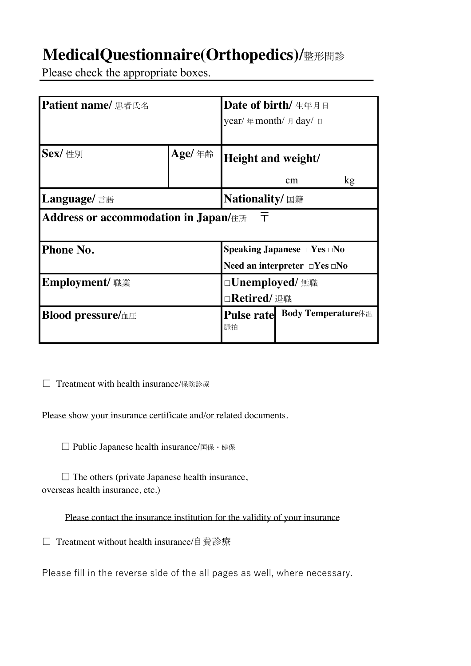# **MedicalQuestionnaire(Orthopedics)/**整形問診

Please check the appropriate boxes.

| Patient name/ 患者氏名                          |        | Date of birth/ 生年月日                                                  |    |    |
|---------------------------------------------|--------|----------------------------------------------------------------------|----|----|
|                                             |        | $\gamma$ ear/ \memorphistangleright monthly for day/ \memory for day |    |    |
| Sex/ 性別                                     | Age/年齢 |                                                                      |    |    |
|                                             |        | Height and weight/                                                   |    |    |
|                                             |        |                                                                      | cm | kg |
| Language/ 言語                                |        | <b>Nationality/</b> 国籍                                               |    |    |
| <b>Address or accommodation in Japan/住所</b> |        | 一丁                                                                   |    |    |
| <b>Phone No.</b>                            |        | Speaking Japanese $\Box$ Yes $\Box$ No                               |    |    |
|                                             |        | Need an interpreter $\Box$ Yes $\Box$ No                             |    |    |
| <b>Employment/</b> 職業                       |        | □ <b>Unemployed/</b> 無職                                              |    |    |
|                                             |        | □Retired/ 退職                                                         |    |    |
| <b>Blood pressure/血圧</b>                    |        | <b>Pulse rate Body Temperature</b> 体温<br>脈拍                          |    |    |

□ Treatment with health insurance/保険診療

Please show your insurance certificate and/or related documents.

□ Public Japanese health insurance/国保・健保

 $\square$  The others (private Japanese health insurance, overseas health insurance, etc.)

Please contact the insurance institution for the validity of your insurance

□ Treatment without health insurance/自費診療

Please fill in the reverse side of the all pages as well, where necessary.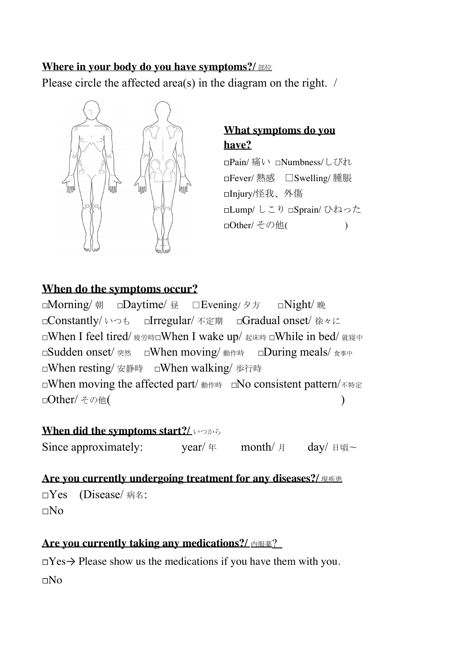#### **Where in your body do you have symptoms?/ 部位**

Please circle the affected area(s) in the diagram on the right. /



# **What symptoms do you have?**

□Pain/ 痛い □Numbness/しびれ □Fever/ 熱感 □Swelling/ 腫脹 □Injury/怪我、外傷 □Lump/ しこり □Sprain/ ひねった □Other/ その他( )

# **When do the symptoms occur?**

□Morning/ 朝 □Daytime/ 昼 □Evening/ 夕方 □Night/ 晩 □Constantly/いつも □Irregular/ 不定期 □Gradual onset/ 徐々に □When I feel tired/ 疲労時□When I wake up/ 起床時 □While in bed/ 就寝中 □Sudden onset/ 突然 □When moving/ 動作時 □During meals/ 食事中 □When resting/ 安静時 □When walking/ 歩行時 □When moving the affected part/ 動作時 □No consistent pattern/不特定 □ Other/ その他(

#### **When did the symptoms start?/** いつから

Since approximately:  $\text{year}/\text{#} \qquad \text{month}/\text{ } \text{#} \qquad \text{day}/\text{ } \text{ } \text{#} \text{ } \sim$ 

#### **Are you currently undergoing treatment for any diseases?/** 現疾患

□Yes (Disease/病名:  $\Box$ No

# **Are you currently taking any medications?/** 内服薬?

□Yes→ Please show us the medications if you have them with you.  $\Box$ No